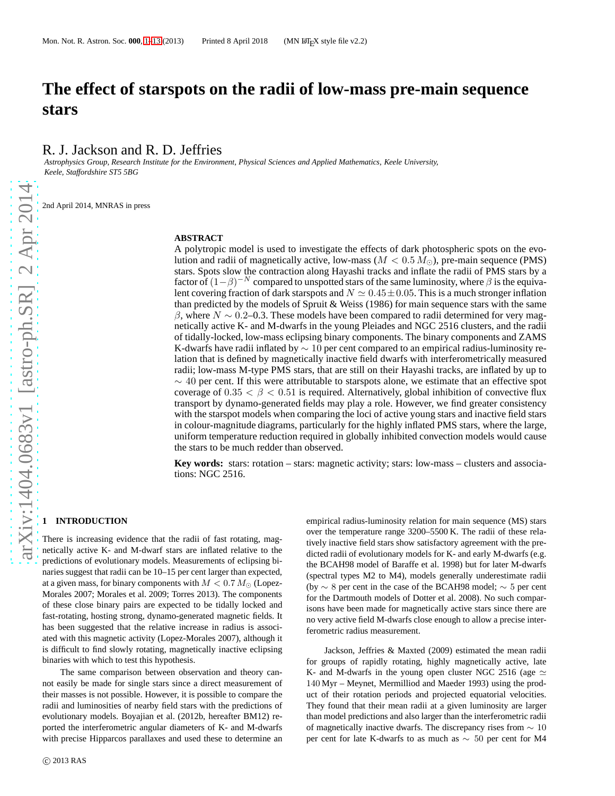# **The effect of starspots on the radii of low-mass pre-main sequence stars**

R. J. Jackson and R. D. Jeffries

*Astrophysics Group, Research Institute for the Environment, Physical Sciences and Applied Mathematics, Keele University, Keele, Staffordshire ST5 5BG*

2nd April 2014, MNRAS in press

#### **ABSTRACT**

A polytropic model is used to investigate the effects of dark photospheric spots on the evolution and radii of magnetically active, low-mass ( $M < 0.5 M_{\odot}$ ), pre-main sequence (PMS) stars. Spots slow the contraction along Hayashi tracks and inflate the radii of PMS stars by a factor of  $(1-\beta)^{-N}$  compared to unspotted stars of the same luminosity, where  $\beta$  is the equivalent covering fraction of dark starspots and  $N \simeq 0.45 \pm 0.05$ . This is a much stronger inflation than predicted by the models of Spruit  $&$  Weiss (1986) for main sequence stars with the same β, where  $N \sim 0.2$ –0.3. These models have been compared to radii determined for very magnetically active K- and M-dwarfs in the young Pleiades and NGC 2516 clusters, and the radii of tidally-locked, low-mass eclipsing binary components. The binary components and ZAMS K-dwarfs have radii inflated by  $\sim 10$  per cent compared to an empirical radius-luminosity relation that is defined by magnetically inactive field dwarfs with interferometrically measured radii; low-mass M-type PMS stars, that are still on their Hayashi tracks, are inflated by up to  $\sim$  40 per cent. If this were attributable to starspots alone, we estimate that an effective spot coverage of  $0.35 < \beta < 0.51$  is required. Alternatively, global inhibition of convective flux transport by dynamo-generated fields may play a role. However, we find greater consistency with the starspot models when comparing the loci of active young stars and inactive field stars in colour-magnitude diagrams, particularly for the highly inflated PMS stars, where the large, uniform temperature reduction required in globally inhibited convection models would cause the stars to be much redder than observed.

**Key words:** stars: rotation – stars: magnetic activity; stars: low-mass – clusters and associations: NGC 2516.

# <span id="page-0-0"></span>**1 INTRODUCTION**

There is increasing evidence that the radii of fast rotating, magnetically active K- and M-dwarf stars are inflated relative to the predictions of evolutionary models. Measurements of eclipsing binaries suggest that radii can be 10–15 per cent larger than expected, at a given mass, for binary components with  $M < 0.7 M_{\odot}$  (Lopez-Morales 2007; Morales et al. 2009; Torres 2013). The components of these close binary pairs are expected to be tidally locked and fast-rotating, hosting strong, dynamo-generated magnetic fields. It has been suggested that the relative increase in radius is associated with this magnetic activity (Lopez-Morales 2007), although it is difficult to find slowly rotating, magnetically inactive eclipsing binaries with which to test this hypothesis.

The same comparison between observation and theory cannot easily be made for single stars since a direct measurement of their masses is not possible. However, it is possible to compare the radii and luminosities of nearby field stars with the predictions of evolutionary models. Boyajian et al. (2012b, hereafter BM12) reported the interferometric angular diameters of K- and M-dwarfs with precise Hipparcos parallaxes and used these to determine an

empirical radius-luminosity relation for main sequence (MS) stars over the temperature range 3200–5500 K. The radii of these relatively inactive field stars show satisfactory agreement with the predicted radii of evolutionary models for K- and early M-dwarfs (e.g. the BCAH98 model of Baraffe et al. 1998) but for later M-dwarfs (spectral types M2 to M4), models generally underestimate radii (by  $\sim$  8 per cent in the case of the BCAH98 model;  $\sim$  5 per cent for the Dartmouth models of Dotter et al. 2008). No such comparisons have been made for magnetically active stars since there are no very active field M-dwarfs close enough to allow a precise interferometric radius measurement.

Jackson, Jeffries & Maxted (2009) estimated the mean radii for groups of rapidly rotating, highly magnetically active, late K- and M-dwarfs in the young open cluster NGC 2516 (age  $\simeq$ 140 Myr – Meynet, Mermilliod and Maeder 1993) using the product of their rotation periods and projected equatorial velocities. They found that their mean radii at a given luminosity are larger than model predictions and also larger than the interferometric radii of magnetically inactive dwarfs. The discrepancy rises from ∼ 10 per cent for late K-dwarfs to as much as ∼ 50 per cent for M4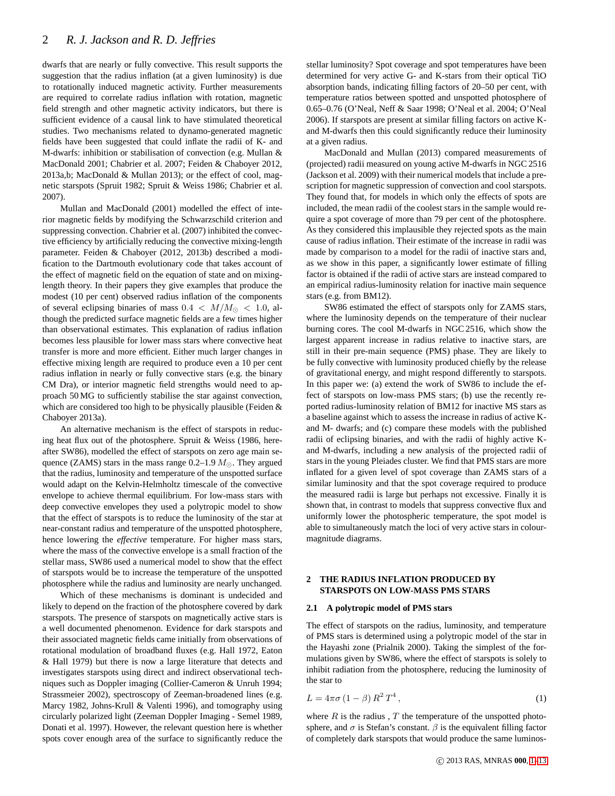dwarfs that are nearly or fully convective. This result supports the suggestion that the radius inflation (at a given luminosity) is due to rotationally induced magnetic activity. Further measurements are required to correlate radius inflation with rotation, magnetic field strength and other magnetic activity indicators, but there is sufficient evidence of a causal link to have stimulated theoretical studies. Two mechanisms related to dynamo-generated magnetic fields have been suggested that could inflate the radii of K- and M-dwarfs: inhibition or stabilisation of convection (e.g. Mullan & MacDonald 2001; Chabrier et al. 2007; Feiden & Chaboyer 2012, 2013a,b; MacDonald & Mullan 2013); or the effect of cool, magnetic starspots (Spruit 1982; Spruit & Weiss 1986; Chabrier et al. 2007).

Mullan and MacDonald (2001) modelled the effect of interior magnetic fields by modifying the Schwarzschild criterion and suppressing convection. Chabrier et al. (2007) inhibited the convective efficiency by artificially reducing the convective mixing-length parameter. Feiden & Chaboyer (2012, 2013b) described a modification to the Dartmouth evolutionary code that takes account of the effect of magnetic field on the equation of state and on mixinglength theory. In their papers they give examples that produce the modest (10 per cent) observed radius inflation of the components of several eclipsing binaries of mass  $0.4 < M/M_{\odot} < 1.0$ , although the predicted surface magnetic fields are a few times higher than observational estimates. This explanation of radius inflation becomes less plausible for lower mass stars where convective heat transfer is more and more efficient. Either much larger changes in effective mixing length are required to produce even a 10 per cent radius inflation in nearly or fully convective stars (e.g. the binary CM Dra), or interior magnetic field strengths would need to approach 50 MG to sufficiently stabilise the star against convection, which are considered too high to be physically plausible (Feiden & Chaboyer 2013a).

An alternative mechanism is the effect of starspots in reducing heat flux out of the photosphere. Spruit & Weiss (1986, hereafter SW86), modelled the effect of starspots on zero age main sequence (ZAMS) stars in the mass range  $0.2-1.9 M_{\odot}$ . They argued that the radius, luminosity and temperature of the unspotted surface would adapt on the Kelvin-Helmholtz timescale of the convective envelope to achieve thermal equilibrium. For low-mass stars with deep convective envelopes they used a polytropic model to show that the effect of starspots is to reduce the luminosity of the star at near-constant radius and temperature of the unspotted photosphere, hence lowering the *effective* temperature. For higher mass stars, where the mass of the convective envelope is a small fraction of the stellar mass, SW86 used a numerical model to show that the effect of starspots would be to increase the temperature of the unspotted photosphere while the radius and luminosity are nearly unchanged.

Which of these mechanisms is dominant is undecided and likely to depend on the fraction of the photosphere covered by dark starspots. The presence of starspots on magnetically active stars is a well documented phenomenon. Evidence for dark starspots and their associated magnetic fields came initially from observations of rotational modulation of broadband fluxes (e.g. Hall 1972, Eaton & Hall 1979) but there is now a large literature that detects and investigates starspots using direct and indirect observational techniques such as Doppler imaging (Collier-Cameron & Unruh 1994; Strassmeier 2002), spectroscopy of Zeeman-broadened lines (e.g. Marcy 1982, Johns-Krull & Valenti 1996), and tomography using circularly polarized light (Zeeman Doppler Imaging - Semel 1989, Donati et al. 1997). However, the relevant question here is whether spots cover enough area of the surface to significantly reduce the stellar luminosity? Spot coverage and spot temperatures have been determined for very active G- and K-stars from their optical TiO absorption bands, indicating filling factors of 20–50 per cent, with temperature ratios between spotted and unspotted photosphere of 0.65–0.76 (O'Neal, Neff & Saar 1998; O'Neal et al. 2004; O'Neal 2006). If starspots are present at similar filling factors on active Kand M-dwarfs then this could significantly reduce their luminosity at a given radius.

MacDonald and Mullan (2013) compared measurements of (projected) radii measured on young active M-dwarfs in NGC 2516 (Jackson et al. 2009) with their numerical models that include a prescription for magnetic suppression of convection and cool starspots. They found that, for models in which only the effects of spots are included, the mean radii of the coolest stars in the sample would require a spot coverage of more than 79 per cent of the photosphere. As they considered this implausible they rejected spots as the main cause of radius inflation. Their estimate of the increase in radii was made by comparison to a model for the radii of inactive stars and, as we show in this paper, a significantly lower estimate of filling factor is obtained if the radii of active stars are instead compared to an empirical radius-luminosity relation for inactive main sequence stars (e.g. from BM12).

SW86 estimated the effect of starspots only for ZAMS stars, where the luminosity depends on the temperature of their nuclear burning cores. The cool M-dwarfs in NGC 2516, which show the largest apparent increase in radius relative to inactive stars, are still in their pre-main sequence (PMS) phase. They are likely to be fully convective with luminosity produced chiefly by the release of gravitational energy, and might respond differently to starspots. In this paper we: (a) extend the work of SW86 to include the effect of starspots on low-mass PMS stars; (b) use the recently reported radius-luminosity relation of BM12 for inactive MS stars as a baseline against which to assess the increase in radius of active Kand M- dwarfs; and (c) compare these models with the published radii of eclipsing binaries, and with the radii of highly active Kand M-dwarfs, including a new analysis of the projected radii of stars in the young Pleiades cluster. We find that PMS stars are more inflated for a given level of spot coverage than ZAMS stars of a similar luminosity and that the spot coverage required to produce the measured radii is large but perhaps not excessive. Finally it is shown that, in contrast to models that suppress convective flux and uniformly lower the photospheric temperature, the spot model is able to simultaneously match the loci of very active stars in colourmagnitude diagrams.

# **2 THE RADIUS INFLATION PRODUCED BY STARSPOTS ON LOW-MASS PMS STARS**

### **2.1 A polytropic model of PMS stars**

The effect of starspots on the radius, luminosity, and temperature of PMS stars is determined using a polytropic model of the star in the Hayashi zone (Prialnik 2000). Taking the simplest of the formulations given by SW86, where the effect of starspots is solely to inhibit radiation from the photosphere, reducing the luminosity of the star to

$$
L = 4\pi\sigma \left(1 - \beta\right) R^2 T^4 \,,\tag{1}
$$

where  $R$  is the radius,  $T$  the temperature of the unspotted photosphere, and  $\sigma$  is Stefan's constant.  $\beta$  is the equivalent filling factor of completely dark starspots that would produce the same luminos-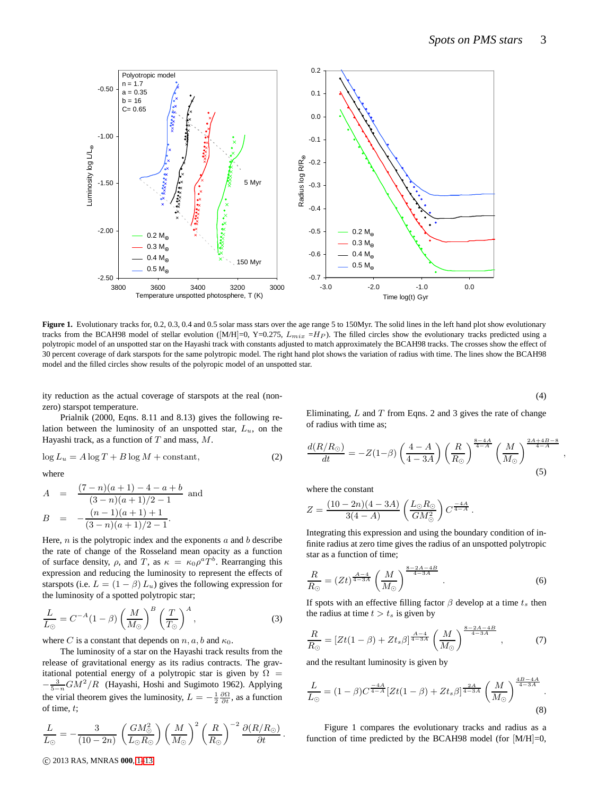

Figure 1. Evolutionary tracks for, 0.2, 0.3, 0.4 and 0.5 solar mass stars over the age range 5 to 150Myr. The solid lines in the left hand plot show evolutionary tracks from the BCAH98 model of stellar evolution ([M/H]=0, Y=0.275,  $L_{mix} = H_P$ ). The filled circles show the evolutionary tracks predicted using a polytropic model of an unspotted star on the Hayashi track with constants adjusted to match approximately the BCAH98 tracks. The crosses show the effect of 30 percent coverage of dark starspots for the same polytropic model. The right hand plot shows the variation of radius with time. The lines show the BCAH98 model and the filled circles show results of the polyropic model of an unspotted star.

ity reduction as the actual coverage of starspots at the real (nonzero) starspot temperature.

Prialnik (2000, Eqns. 8.11 and 8.13) gives the following relation between the luminosity of an unspotted star,  $L<sub>u</sub>$ , on the Hayashi track, as a function of  $T$  and mass,  $M$ .

$$
\log L_u = A \log T + B \log M + \text{constant},\tag{2}
$$

where

$$
A = \frac{(7-n)(a+1) - 4 - a + b}{(3-n)(a+1)/2 - 1}
$$
 and  

$$
B = -\frac{(n-1)(a+1) + 1}{(3-n)(a+1)/2 - 1}.
$$

Here,  $n$  is the polytropic index and the exponents  $a$  and  $b$  describe the rate of change of the Rosseland mean opacity as a function of surface density,  $\rho$ , and T, as  $\kappa = \kappa_0 \rho^a T^b$ . Rearranging this expression and reducing the luminosity to represent the effects of starspots (i.e.  $L = (1 - \beta) L_u$ ) gives the following expression for the luminosity of a spotted polytropic star;

$$
\frac{L}{L_{\odot}} = C^{-A} (1 - \beta) \left( \frac{M}{M_{\odot}} \right)^{B} \left( \frac{T}{T_{\odot}} \right)^{A}, \tag{3}
$$

where C is a constant that depends on  $n, a, b$  and  $\kappa_0$ .

The luminosity of a star on the Hayashi track results from the release of gravitational energy as its radius contracts. The gravitational potential energy of a polytropic star is given by  $\Omega =$  $-\frac{3}{5-n}GM^2/R$  (Hayashi, Hoshi and Sugimoto 1962). Applying the virial theorem gives the luminosity,  $L = -\frac{1}{2} \frac{\partial \Omega}{\partial t}$ , as a function of time, t;

$$
\frac{L}{L_{\odot}} = -\frac{3}{(10-2n)} \left(\frac{GM_{\odot}^2}{L_{\odot}R_{\odot}}\right) \left(\frac{M}{M_{\odot}}\right)^2 \left(\frac{R}{R_{\odot}}\right)^{-2} \frac{\partial (R/R_{\odot})}{\partial t}.
$$

(4)

,

Eliminating,  $L$  and  $T$  from Eqns. 2 and 3 gives the rate of change of radius with time as;

$$
\frac{d(R/R_{\odot})}{dt} = -Z(1-\beta)\left(\frac{4-A}{4-3A}\right)\left(\frac{R}{R_{\odot}}\right)^{\frac{8-4A}{4-A}}\left(\frac{M}{M_{\odot}}\right)^{\frac{2A+4B-8}{4-A}}
$$
(5)

where the constant

$$
Z = \frac{(10 - 2n)(4 - 3A)}{3(4 - A)} \left(\frac{L_{\odot}R_{\odot}}{GM_{\odot}^2}\right) C^{\frac{-4A}{4 - A}}.
$$

Integrating this expression and using the boundary condition of infinite radius at zero time gives the radius of an unspotted polytropic star as a function of time;

$$
\frac{R}{R_{\odot}} = (Zt)^{\frac{A-4}{4-3A}} \left(\frac{M}{M_{\odot}}\right)^{\frac{8-2A-4B}{4-3A}}.
$$
\n(6)

If spots with an effective filling factor  $\beta$  develop at a time  $t_s$  then the radius at time  $t > t_s$  is given by

$$
\frac{R}{R_{\odot}} = \left[ Zt(1-\beta) + Zt_s \beta \right]^{\frac{A-4}{4-3A}} \left( \frac{M}{M_{\odot}} \right)^{\frac{8-2A-4B}{4-3A}}, \tag{7}
$$

and the resultant luminosity is given by

$$
\frac{L}{L_{\odot}} = (1 - \beta)C^{\frac{-4A}{4 - A}} [Zt(1 - \beta) + Zt_s \beta]^{\frac{2A}{4 - 3A}} \left(\frac{M}{M_{\odot}}\right)^{\frac{4B - 4A}{4 - 3A}}.
$$
\n(8)

Figure 1 compares the evolutionary tracks and radius as a function of time predicted by the BCAH98 model (for  $[M/H]=0$ ,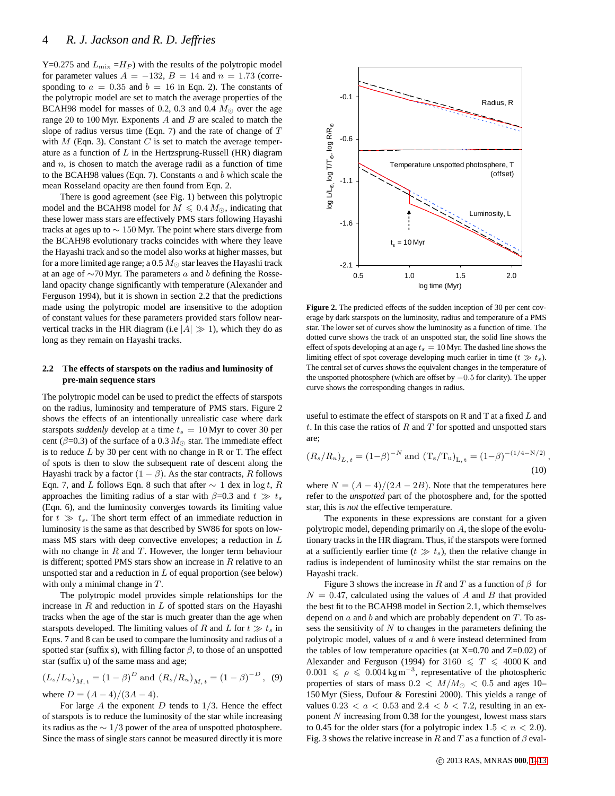Y=0.275 and  $L_{\text{mix}} = H_P$ ) with the results of the polytropic model for parameter values  $A = -132$ ,  $B = 14$  and  $n = 1.73$  (corresponding to  $a = 0.35$  and  $b = 16$  in Eqn. 2). The constants of the polytropic model are set to match the average properties of the BCAH98 model for masses of 0.2, 0.3 and 0.4  $M_{\odot}$  over the age range 20 to 100 Myr. Exponents  $A$  and  $B$  are scaled to match the slope of radius versus time (Eqn. 7) and the rate of change of T with  $M$  (Eqn. 3). Constant  $C$  is set to match the average temperature as a function of  $L$  in the Hertzsprung-Russell (HR) diagram and  $n$ , is chosen to match the average radii as a function of time to the BCAH98 values (Eqn. 7). Constants  $a$  and  $b$  which scale the mean Rosseland opacity are then found from Eqn. 2.

There is good agreement (see Fig. 1) between this polytropic model and the BCAH98 model for  $M \leq 0.4 M_{\odot}$ , indicating that these lower mass stars are effectively PMS stars following Hayashi tracks at ages up to ∼ 150 Myr. The point where stars diverge from the BCAH98 evolutionary tracks coincides with where they leave the Hayashi track and so the model also works at higher masses, but for a more limited age range; a  $0.5 M_{\odot}$  star leaves the Hayashi track at an age of  $\sim$ 70 Myr. The parameters a and b defining the Rosseland opacity change significantly with temperature (Alexander and Ferguson 1994), but it is shown in section 2.2 that the predictions made using the polytropic model are insensitive to the adoption of constant values for these parameters provided stars follow nearvertical tracks in the HR diagram (i.e  $|A| \gg 1$ ), which they do as long as they remain on Hayashi tracks.

## **2.2 The effects of starspots on the radius and luminosity of pre-main sequence stars**

The polytropic model can be used to predict the effects of starspots on the radius, luminosity and temperature of PMS stars. Figure 2 shows the effects of an intentionally unrealistic case where dark starspots *suddenly* develop at a time  $t_s = 10$  Myr to cover 30 per cent ( $\beta$ =0.3) of the surface of a 0.3  $M_{\odot}$  star. The immediate effect is to reduce  $L$  by 30 per cent with no change in R or T. The effect of spots is then to slow the subsequent rate of descent along the Hayashi track by a factor  $(1 - \beta)$ . As the star contracts, R follows Eqn. 7, and L follows Eqn. 8 such that after  $\sim 1$  dex in log t, R approaches the limiting radius of a star with  $\beta$ =0.3 and  $t \gg t_s$ (Eqn. 6), and the luminosity converges towards its limiting value for  $t \gg t_s$ . The short term effect of an immediate reduction in luminosity is the same as that described by SW86 for spots on lowmass  $\overline{MS}$  stars with deep convective envelopes; a reduction in  $L$ with no change in  $R$  and  $T$ . However, the longer term behaviour is different; spotted PMS stars show an increase in  $R$  relative to an unspotted star and a reduction in  $L$  of equal proportion (see below) with only a minimal change in  $T$ .

The polytropic model provides simple relationships for the increase in  $R$  and reduction in  $L$  of spotted stars on the Hayashi tracks when the age of the star is much greater than the age when starspots developed. The limiting values of R and L for  $t \gg t_s$  in Eqns. 7 and 8 can be used to compare the luminosity and radius of a spotted star (suffix s), with filling factor  $\beta$ , to those of an unspotted star (suffix u) of the same mass and age;

$$
(L_s/L_u)_{M,t} = (1 - \beta)^D
$$
 and  $(R_s/R_u)_{M,t} = (1 - \beta)^{-D}$ , (9)  
where  $D = (A - 4)/(3A - 4)$ .

For large A the exponent  $D$  tends to  $1/3$ . Hence the effect of starspots is to reduce the luminosity of the star while increasing its radius as the ∼ 1/3 power of the area of unspotted photosphere. Since the mass of single stars cannot be measured directly it is more



**Figure 2.** The predicted effects of the sudden inception of 30 per cent coverage by dark starspots on the luminosity, radius and temperature of a PMS star. The lower set of curves show the luminosity as a function of time. The dotted curve shows the track of an unspotted star, the solid line shows the effect of spots developing at an age  $t_s = 10$  Myr. The dashed line shows the limiting effect of spot coverage developing much earlier in time ( $t \gg t_s$ ). The central set of curves shows the equivalent changes in the temperature of the unspotted photosphere (which are offset by  $-0.5$  for clarity). The upper curve shows the corresponding changes in radius.

useful to estimate the effect of starspots on R and T at a fixed  $L$  and t. In this case the ratios of  $R$  and  $T$  for spotted and unspotted stars are;

$$
(R_s/R_u)_{L,t} = (1-\beta)^{-N}
$$
 and  $(T_s/T_u)_{L,t} = (1-\beta)^{-(1/4-N/2)}$ ,  
(10)

where  $N = (A - 4)/(2A - 2B)$ . Note that the temperatures here refer to the *unspotted* part of the photosphere and, for the spotted star, this is *not* the effective temperature.

The exponents in these expressions are constant for a given polytropic model, depending primarily on  $A$ , the slope of the evolutionary tracks in the HR diagram. Thus, if the starspots were formed at a sufficiently earlier time ( $t \gg t_s$ ), then the relative change in radius is independent of luminosity whilst the star remains on the Hayashi track.

Figure 3 shows the increase in R and T as a function of  $\beta$  for  $N = 0.47$ , calculated using the values of A and B that provided the best fit to the BCAH98 model in Section 2.1, which themselves depend on  $a$  and  $b$  and which are probably dependent on  $T$ . To assess the sensitivity of  $N$  to changes in the parameters defining the polytropic model, values of  $a$  and  $b$  were instead determined from the tables of low temperature opacities (at  $X=0.70$  and  $Z=0.02$ ) of Alexander and Ferguson (1994) for 3160  $\leq T \leq 4000$  K and  $0.001 \leq \rho \leq 0.004 \,\mathrm{kg\,m^{-3}}$ , representative of the photospheric properties of stars of mass  $0.2 < M/M_{\odot} < 0.5$  and ages 10– 150 Myr (Siess, Dufour & Forestini 2000). This yields a range of values  $0.23 < a < 0.53$  and  $2.4 < b < 7.2$ , resulting in an exponent  $N$  increasing from 0.38 for the youngest, lowest mass stars to 0.45 for the older stars (for a polytropic index  $1.5 < n < 2.0$ ). Fig. 3 shows the relative increase in R and T as a function of  $\beta$  eval-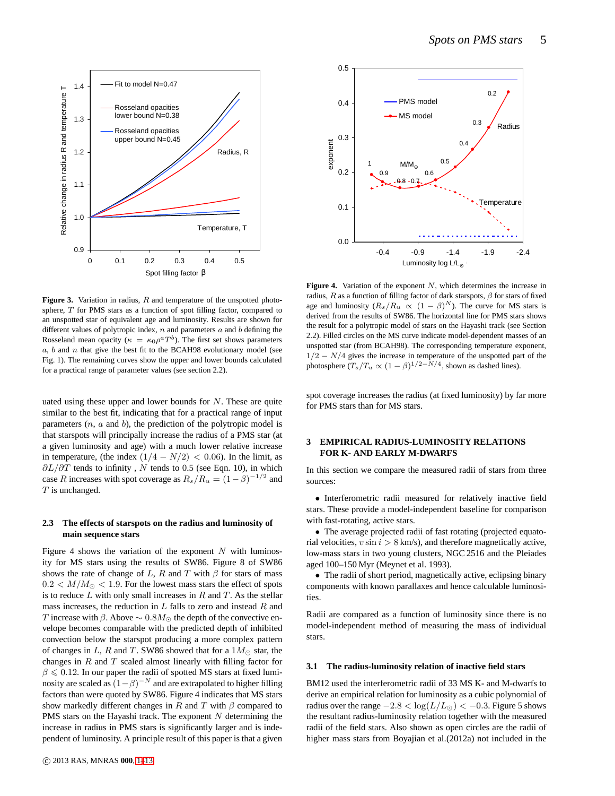

Figure 3. Variation in radius, R and temperature of the unspotted photosphere, T for PMS stars as a function of spot filling factor, compared to an unspotted star of equivalent age and luminosity. Results are shown for different values of polytropic index,  $n$  and parameters  $a$  and  $b$  defining the Rosseland mean opacity ( $\kappa = \kappa_0 \rho^a T^b$ ). The first set shows parameters  $a, b$  and  $n$  that give the best fit to the BCAH98 evolutionary model (see Fig. 1). The remaining curves show the upper and lower bounds calculated for a practical range of parameter values (see section 2.2).

uated using these upper and lower bounds for  $N$ . These are quite similar to the best fit, indicating that for a practical range of input parameters  $(n, a$  and  $b)$ , the prediction of the polytropic model is that starspots will principally increase the radius of a PMS star (at a given luminosity and age) with a much lower relative increase in temperature, (the index  $(1/4 - N/2) < 0.06$ ). In the limit, as  $\partial L/\partial T$  tends to infinity, N tends to 0.5 (see Eqn. 10), in which case R increases with spot coverage as  $R_s/R_u = (1 - \beta)^{-1/2}$  and  $T$  is unchanged.

## **2.3 The effects of starspots on the radius and luminosity of main sequence stars**

Figure 4 shows the variation of the exponent  $N$  with luminosity for MS stars using the results of SW86. Figure 8 of SW86 shows the rate of change of L, R and T with  $\beta$  for stars of mass  $0.2 < M/M_{\odot} < 1.9$ . For the lowest mass stars the effect of spots is to reduce  $L$  with only small increases in  $R$  and  $T$ . As the stellar mass increases, the reduction in  $L$  falls to zero and instead  $R$  and T increase with  $\beta$ . Above  $\sim 0.8M_{\odot}$  the depth of the convective envelope becomes comparable with the predicted depth of inhibited convection below the starspot producing a more complex pattern of changes in L, R and T. SW86 showed that for a  $1M_{\odot}$  star, the changes in  $R$  and  $T$  scaled almost linearly with filling factor for  $\beta \leq 0.12$ . In our paper the radii of spotted MS stars at fixed luminosity are scaled as  $(1 - \beta)^{-N}$  and are extrapolated to higher filling factors than were quoted by SW86. Figure 4 indicates that MS stars show markedly different changes in R and T with  $\beta$  compared to PMS stars on the Hayashi track. The exponent  $N$  determining the increase in radius in PMS stars is significantly larger and is independent of luminosity. A principle result of this paper is that a given



Figure 4. Variation of the exponent N, which determines the increase in radius, R as a function of filling factor of dark starspots,  $\beta$  for stars of fixed age and luminosity  $(R_s/R_u \propto (1-\beta)^N)$ . The curve for MS stars is derived from the results of SW86. The horizontal line for PMS stars shows the result for a polytropic model of stars on the Hayashi track (see Section 2.2). Filled circles on the MS curve indicate model-dependent masses of an unspotted star (from BCAH98). The corresponding temperature exponent,  $1/2 - N/4$  gives the increase in temperature of the unspotted part of the photosphere  $(T_s/T_u \propto (1-\beta)^{1/2-N/4}$ , shown as dashed lines).

spot coverage increases the radius (at fixed luminosity) by far more for PMS stars than for MS stars.

## **3 EMPIRICAL RADIUS-LUMINOSITY RELATIONS FOR K- AND EARLY M-DWARFS**

In this section we compare the measured radii of stars from three sources:

• Interferometric radii measured for relatively inactive field stars. These provide a model-independent baseline for comparison with fast-rotating, active stars.

• The average projected radii of fast rotating (projected equatorial velocities,  $v \sin i > 8$  km/s), and therefore magnetically active, low-mass stars in two young clusters, NGC 2516 and the Pleiades aged 100–150 Myr (Meynet et al. 1993).

• The radii of short period, magnetically active, eclipsing binary components with known parallaxes and hence calculable luminosities.

Radii are compared as a function of luminosity since there is no model-independent method of measuring the mass of individual stars.

#### **3.1 The radius-luminosity relation of inactive field stars**

BM12 used the interferometric radii of 33 MS K- and M-dwarfs to derive an empirical relation for luminosity as a cubic polynomial of radius over the range  $-2.8 < log(L/L_{\odot}) < -0.3$ . Figure 5 shows the resultant radius-luminosity relation together with the measured radii of the field stars. Also shown as open circles are the radii of higher mass stars from Boyajian et al.(2012a) not included in the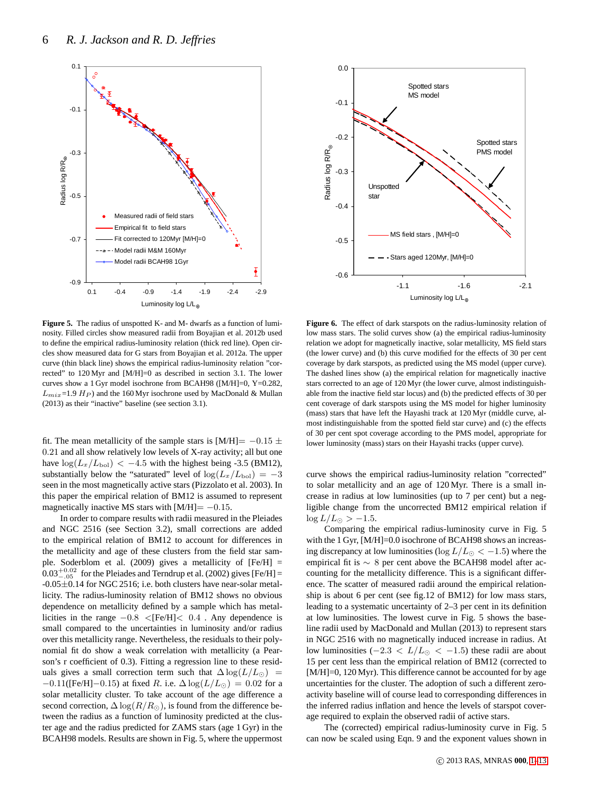

**Figure 5.** The radius of unspotted K- and M- dwarfs as a function of luminosity. Filled circles show measured radii from Boyajian et al. 2012b used to define the empirical radius-luminosity relation (thick red line). Open circles show measured data for G stars from Boyajian et al. 2012a. The upper curve (thin black line) shows the empirical radius-luminosity relation "corrected" to 120 Myr and [M/H]=0 as described in section 3.1. The lower curves show a 1 Gyr model isochrone from BCAH98 ([M/H]=0, Y=0.282,  $L_{mix}$ =1.9  $H_P$ ) and the 160 Myr isochrone used by MacDonald & Mullan (2013) as their "inactive" baseline (see section 3.1).

fit. The mean metallicity of the sample stars is [M/H]=  $-0.15 \pm$ 0.21 and all show relatively low levels of X-ray activity; all but one have  $\log(L_x/L_{\text{bol}}) < -4.5$  with the highest being -3.5 (BM12), substantially below the "saturated" level of  $log(L_x/L_{bol}) = -3$ seen in the most magnetically active stars (Pizzolato et al. 2003). In this paper the empirical relation of BM12 is assumed to represent magnetically inactive MS stars with  $[M/H] = -0.15$ .

In order to compare results with radii measured in the Pleiades and NGC 2516 (see Section 3.2), small corrections are added to the empirical relation of BM12 to account for differences in the metallicity and age of these clusters from the field star sample. Soderblom et al. (2009) gives a metallicity of [Fe/H] =  $0.03^{+0.02}_{-.05}$  for the Pleiades and Terndrup et al. (2002) gives [Fe/H] = -0.05±0.14 for NGC 2516; i.e. both clusters have near-solar metallicity. The radius-luminosity relation of BM12 shows no obvious dependence on metallicity defined by a sample which has metallicities in the range −0.8 <[Fe/H]< 0.4 . Any dependence is small compared to the uncertainties in luminosity and/or radius over this metallicity range. Nevertheless, the residuals to their polynomial fit do show a weak correlation with metallicity (a Pearson's r coefficient of 0.3). Fitting a regression line to these residuals gives a small correction term such that  $\Delta \log(L/L_{\odot})$  =  $-0.11$ ([Fe/H]–0.15) at fixed R. i.e.  $\Delta \log(L/L_{\odot}) = 0.02$  for a solar metallicity cluster. To take account of the age difference a second correction,  $\Delta \log(R/R_{\odot})$ , is found from the difference between the radius as a function of luminosity predicted at the cluster age and the radius predicted for ZAMS stars (age 1 Gyr) in the BCAH98 models. Results are shown in Fig. 5, where the uppermost



**Figure 6.** The effect of dark starspots on the radius-luminosity relation of low mass stars. The solid curves show (a) the empirical radius-luminosity relation we adopt for magnetically inactive, solar metallicity, MS field stars (the lower curve) and (b) this curve modified for the effects of 30 per cent coverage by dark starspots, as predicted using the MS model (upper curve). The dashed lines show (a) the empirical relation for magnetically inactive stars corrected to an age of 120 Myr (the lower curve, almost indistinguishable from the inactive field star locus) and (b) the predicted effects of 30 per cent coverage of dark starspots using the MS model for higher luminosity (mass) stars that have left the Hayashi track at 120 Myr (middle curve, almost indistinguishable from the spotted field star curve) and (c) the effects of 30 per cent spot coverage according to the PMS model, appropriate for lower luminosity (mass) stars on their Hayashi tracks (upper curve).

curve shows the empirical radius-luminosity relation "corrected" to solar metallicity and an age of 120 Myr. There is a small increase in radius at low luminosities (up to 7 per cent) but a negligible change from the uncorrected BM12 empirical relation if  $\log L/L_{\odot} > -1.5$ .

Comparing the empirical radius-luminosity curve in Fig. 5 with the 1 Gyr, [M/H]=0.0 isochrone of BCAH98 shows an increasing discrepancy at low luminosities (log  $L/L_{\odot} < -1.5$ ) where the empirical fit is ∼ 8 per cent above the BCAH98 model after accounting for the metallicity difference. This is a significant difference. The scatter of measured radii around the empirical relationship is about 6 per cent (see fig.12 of BM12) for low mass stars, leading to a systematic uncertainty of 2–3 per cent in its definition at low luminosities. The lowest curve in Fig. 5 shows the baseline radii used by MacDonald and Mullan (2013) to represent stars in NGC 2516 with no magnetically induced increase in radius. At low luminosities (−2.3 <  $L/L_{\odot}$  < −1.5) these radii are about 15 per cent less than the empirical relation of BM12 (corrected to [M/H]=0, 120 Myr). This difference cannot be accounted for by age uncertainties for the cluster. The adoption of such a different zeroactivity baseline will of course lead to corresponding differences in the inferred radius inflation and hence the levels of starspot coverage required to explain the observed radii of active stars.

The (corrected) empirical radius-luminosity curve in Fig. 5 can now be scaled using Eqn. 9 and the exponent values shown in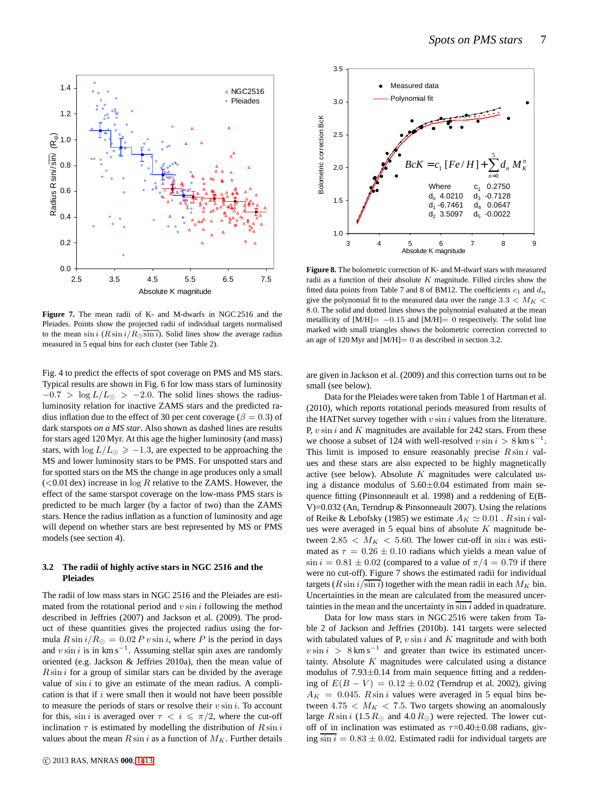

**Figure 7.** The mean radii of K- and M-dwarfs in NGC 2516 and the Pleiades. Points show the projected radii of individual targets normalised to the mean sin i  $(R \sin i / R \sin i)$ . Solid lines show the average radius measured in 5 equal bins for each cluster (see Table 2).

Fig. 4 to predict the effects of spot coverage on PMS and MS stars. Typical results are shown in Fig. 6 for low mass stars of luminosity  $-0.7$  > log  $L/L_{\odot}$  >  $-2.0$ . The solid lines shows the radiusluminosity relation for inactive ZAMS stars and the predicted radius inflation due to the effect of 30 per cent coverage ( $\beta = 0.3$ ) of dark starspots *on a MS star*. Also shown as dashed lines are results for stars aged 120 Myr. At this age the higher luminosity (and mass) stars, with  $\log L/L_{\odot} \ge -1.3$ , are expected to be approaching the MS and lower luminosity stars to be PMS. For unspotted stars and for spotted stars on the MS the change in age produces only a small  $(<0.01$  dex) increase in  $log R$  relative to the ZAMS. However, the effect of the same starspot coverage on the low-mass PMS stars is predicted to be much larger (by a factor of two) than the ZAMS stars. Hence the radius inflation as a function of luminosity and age will depend on whether stars are best represented by MS or PMS models (see section 4).

## **3.2 The radii of highly active stars in NGC 2516 and the Pleiades**

The radii of low mass stars in NGC 2516 and the Pleiades are estimated from the rotational period and  $v \sin i$  following the method described in Jeffries (2007) and Jackson et al. (2009). The product of these quantities gives the projected radius using the formula  $R \sin i/R_{\odot} = 0.02 P v \sin i$ , where P is the period in days and  $v \sin i$  is in km s<sup>-1</sup>. Assuming stellar spin axes are randomly oriented (e.g. Jackson & Jeffries 2010a), then the mean value of  $R \sin i$  for a group of similar stars can be divided by the average value of  $\sin i$  to give an estimate of the mean radius. A complication is that if  $i$  were small then it would not have been possible to measure the periods of stars or resolve their  $v \sin i$ . To account for this, sin *i* is averaged over  $\tau < i \leq \pi/2$ , where the cut-off inclination  $\tau$  is estimated by modelling the distribution of  $R \sin i$ values about the mean  $R \sin i$  as a function of  $M_K$ . Further details



**Figure 8.** The bolometric correction of K- and M-dwarf stars with measured radii as a function of their absolute  $K$  magnitude. Filled circles show the fitted data points from Table 7 and 8 of BM12. The coefficients  $c_1$  and  $d_n$ give the polynomial fit to the measured data over the range  $3.3 < M_K <$ 8.0. The solid and dotted lines shows the polynomial evaluated at the mean metallicity of  $[M/H] = -0.15$  and  $[M/H] = 0$  respectively. The solid line marked with small triangles shows the bolometric correction corrected to an age of  $120 \text{ Myr}$  and  $[M/H]= 0$  as described in section 3.2.

are given in Jackson et al. (2009) and this correction turns out to be small (see below).

Data for the Pleiades were taken from Table 1 of Hartman et al. (2010), which reports rotational periods measured from results of the HATNet survey together with  $v \sin i$  values from the literature. P,  $v \sin i$  and  $K$  magnitudes are available for 242 stars. From these we choose a subset of 124 with well-resolved  $v \sin i > 8 \text{ km s}^{-1}$ . This limit is imposed to ensure reasonably precise  $R \sin i$  values and these stars are also expected to be highly magnetically active (see below). Absolute  $K$  magnitudes were calculated using a distance modulus of  $5.60 \pm 0.04$  estimated from main sequence fitting (Pinsonneault et al. 1998) and a reddening of E(B-V)=0.032 (An, Terndrup & Pinsonneault 2007). Using the relations of Reike & Lebofsky (1985) we estimate  $A_K \simeq 0.01$ . R sin i values were averaged in 5 equal bins of absolute  $K$  magnitude between  $2.85 < M_K < 5.60$ . The lower cut-off in sin i was estimated as  $\tau = 0.26 \pm 0.10$  radians which yields a mean value of  $\sin i = 0.81 \pm 0.02$  (compared to a value of  $\pi/4 = 0.79$  if there were no cut-off). Figure 7 shows the estimated radii for individual targets ( $R \sin i / \sin i$ ) together with the mean radii in each  $M_K$  bin. Uncertainties in the mean are calculated from the measured uncertainties in the mean and the uncertainty in  $\sin i$  added in quadrature.

Data for low mass stars in NGC 2516 were taken from Table 2 of Jackson and Jeffries (2010b). 141 targets were selected with tabulated values of P,  $v \sin i$  and K magnitude and with both  $v \sin i > 8 \text{ km s}^{-1}$  and greater than twice its estimated uncertainty. Absolute  $K$  magnitudes were calculated using a distance modulus of 7.93±0.14 from main sequence fitting and a reddening of  $E(B - V) = 0.12 ± 0.02$  (Terndrup et al. 2002), giving  $A_K = 0.045$ . R sin i values were averaged in 5 equal bins between 4.75  $\lt M_K$   $\lt$  7.5. Two targets showing an anomalously large  $R \sin i$  (1.5  $R_{\odot}$  and 4.0  $R_{\odot}$ ) were rejected. The lower cutoff of in inclination was estimated as  $\tau$ =0.40±0.08 radians, giving  $\sin i = 0.83 \pm 0.02$ . Estimated radii for individual targets are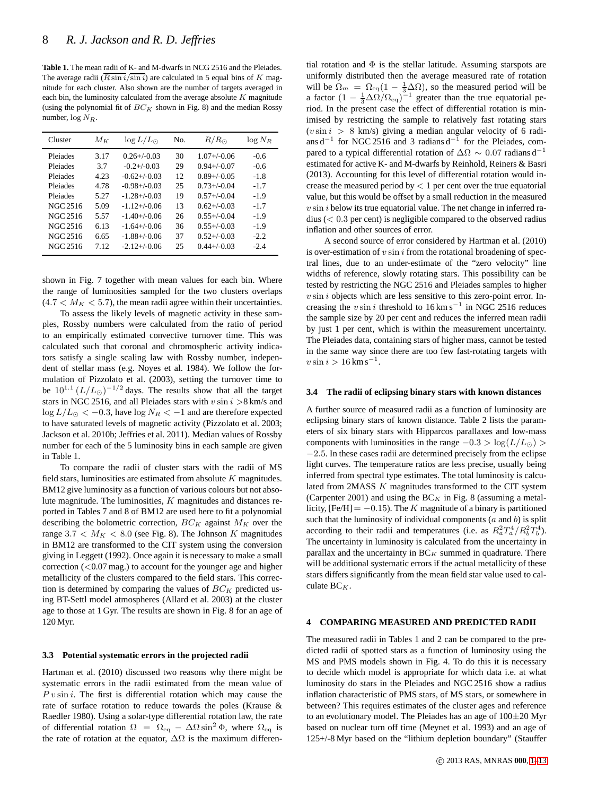**Table 1.** The mean radii of K- and M-dwarfs in NCG 2516 and the Pleiades. The average radii  $\left(\overline{R \sin i}/\overline{\sin i}\right)$  are calculated in 5 equal bins of K magnitude for each cluster. Also shown are the number of targets averaged in each bin, the luminosity calculated from the average absolute  $K$  magnitude (using the polynomial fit of  $BC_K$  shown in Fig. 8) and the median Rossy number,  $\log N_R$ .

| Cluster  | $M_K$ | $\log L/L_{\odot}$ | No. | $R/R_{\odot}$    | $log N_R$ |
|----------|-------|--------------------|-----|------------------|-----------|
| Pleiades | 3.17  | $0.26 + (-0.03)$   | 30  | $1.07 + (-0.06)$ | $-0.6$    |
| Pleiades | 3.7   | $-0.2+/-0.03$      | 29  | $0.94 + (-0.07)$ | $-0.6$    |
| Pleiades | 4.23  | $-0.62+/-0.03$     | 12  | $0.89+/0.05$     | $-1.8$    |
| Pleiades | 4.78  | $-0.98 + (-0.03)$  | 25  | $0.73 + (-0.04)$ | $-1.7$    |
| Pleiades | 5.27  | $-1.28 + (-0.03)$  | 19  | $0.57 + (-0.04)$ | $-1.9$    |
| NGC 2516 | 5.09  | $-1.12+/-0.06$     | 13  | $0.62+/0.03$     | $-1.7$    |
| NGC 2516 | 5.57  | $-1.40+/-0.06$     | 26  | $0.55+/0.04$     | $-1.9$    |
| NGC 2516 | 6.13  | $-1.64+/-0.06$     | 36  | $0.55+/0.03$     | $-1.9$    |
| NGC 2516 | 6.65  | $-1.88+/-0.06$     | 37  | $0.52+/0.03$     | $-2.2$    |
| NGC 2516 | 7.12  | $-2.12+/-0.06$     | 25  | $0.44 + (-0.03)$ | $-2.4$    |

shown in Fig. 7 together with mean values for each bin. Where the range of luminosities sampled for the two clusters overlaps  $(4.7 < M<sub>K</sub> < 5.7)$ , the mean radii agree within their uncertainties.

To assess the likely levels of magnetic activity in these samples, Rossby numbers were calculated from the ratio of period to an empirically estimated convective turnover time. This was calculated such that coronal and chromospheric activity indicators satisfy a single scaling law with Rossby number, independent of stellar mass (e.g. Noyes et al. 1984). We follow the formulation of Pizzolato et al. (2003), setting the turnover time to be  $10^{1.1} (L/L_{\odot})^{-1/2}$  days. The results show that all the target stars in NGC 2516, and all Pleiades stars with  $v \sin i > 8$  km/s and  $\log L/L_{\odot} < -0.3$ , have  $\log N_R < -1$  and are therefore expected to have saturated levels of magnetic activity (Pizzolato et al. 2003; Jackson et al. 2010b; Jeffries et al. 2011). Median values of Rossby number for each of the 5 luminosity bins in each sample are given in Table 1.

To compare the radii of cluster stars with the radii of MS field stars, luminosities are estimated from absolute  $K$  magnitudes. BM12 give luminosity as a function of various colours but not absolute magnitude. The luminosities, K magnitudes and distances reported in Tables 7 and 8 of BM12 are used here to fit a polynomial describing the bolometric correction,  $BC_K$  against  $M_K$  over the range  $3.7 < M_K < 8.0$  (see Fig. 8). The Johnson K magnitudes in BM12 are transformed to the CIT system using the conversion giving in Leggett (1992). Once again it is necessary to make a small correction  $(<0.07 \text{ mag.})$  to account for the younger age and higher metallicity of the clusters compared to the field stars. This correction is determined by comparing the values of  $BC_K$  predicted using BT-Settl model atmospheres (Allard et al. 2003) at the cluster age to those at 1 Gyr. The results are shown in Fig. 8 for an age of 120 Myr.

#### **3.3 Potential systematic errors in the projected radii**

Hartman et al. (2010) discussed two reasons why there might be systematic errors in the radii estimated from the mean value of  $P v \sin i$ . The first is differential rotation which may cause the rate of surface rotation to reduce towards the poles (Krause & Raedler 1980). Using a solar-type differential rotation law, the rate of differential rotation  $\Omega = \Omega_{\text{eq}} - \Delta \Omega \sin^2 \Phi$ , where  $\Omega_{\text{eq}}$  is the rate of rotation at the equator,  $\Delta\Omega$  is the maximum differen-

tial rotation and  $\Phi$  is the stellar latitude. Assuming starspots are uniformly distributed then the average measured rate of rotation will be  $\Omega_m = \Omega_{\text{eq}}(1 - \frac{1}{3}\Delta\Omega)$ , so the measured period will be a factor  $(1 - \frac{1}{3}\Delta\Omega/\Omega_{\text{eq}})^{-1}$  greater than the true equatorial period. In the present case the effect of differential rotation is minimised by restricting the sample to relatively fast rotating stars  $(v \sin i > 8 \text{ km/s})$  giving a median angular velocity of 6 radians  $d^{-1}$  for NGC 2516 and 3 radians  $d^{-1}$  for the Pleiades, compared to a typical differential rotation of  $\Delta\Omega \sim 0.07$  radians d<sup>-1</sup> estimated for active K- and M-dwarfs by Reinhold, Reiners & Basri (2013). Accounting for this level of differential rotation would increase the measured period by  $< 1$  per cent over the true equatorial value, but this would be offset by a small reduction in the measured  $v \sin i$  below its true equatorial value. The net change in inferred radius  $(< 0.3$  per cent) is negligible compared to the observed radius inflation and other sources of error.

A second source of error considered by Hartman et al. (2010) is over-estimation of  $v \sin i$  from the rotational broadening of spectral lines, due to an under-estimate of the "zero velocity" line widths of reference, slowly rotating stars. This possibility can be tested by restricting the NGC 2516 and Pleiades samples to higher  $v \sin i$  objects which are less sensitive to this zero-point error. Increasing the  $v \sin i$  threshold to 16 km s<sup>-1</sup> in NGC 2516 reduces the sample size by 20 per cent and reduces the inferred mean radii by just 1 per cent, which is within the measurement uncertainty. The Pleiades data, containing stars of higher mass, cannot be tested in the same way since there are too few fast-rotating targets with  $v \sin i > 16 \text{ km s}^{-1}$ .

#### **3.4 The radii of eclipsing binary stars with known distances**

A further source of measured radii as a function of luminosity are eclipsing binary stars of known distance. Table 2 lists the parameters of six binary stars with Hipparcos parallaxes and low-mass components with luminosities in the range  $-0.3 > log(L/L_{\odot})$  $-2.5$ . In these cases radii are determined precisely from the eclipse light curves. The temperature ratios are less precise, usually being inferred from spectral type estimates. The total luminosity is calculated from 2MASS K magnitudes transformed to the CIT system (Carpenter 2001) and using the  $BC_K$  in Fig. 8 (assuming a metallicity, [Fe/H] =  $-0.15$ ). The K magnitude of a binary is partitioned such that the luminosity of individual components  $(a \text{ and } b)$  is split according to their radii and temperatures (i.e. as  $R_a^2 T_a^4 / R_b^2 T_b^4$ ). The uncertainty in luminosity is calculated from the uncertainty in parallax and the uncertainty in  $BC_K$  summed in quadrature. There will be additional systematic errors if the actual metallicity of these stars differs significantly from the mean field star value used to calculate  $BC_K$ .

#### **4 COMPARING MEASURED AND PREDICTED RADII**

The measured radii in Tables 1 and 2 can be compared to the predicted radii of spotted stars as a function of luminosity using the MS and PMS models shown in Fig. 4. To do this it is necessary to decide which model is appropriate for which data i.e. at what luminosity do stars in the Pleiades and NGC 2516 show a radius inflation characteristic of PMS stars, of MS stars, or somewhere in between? This requires estimates of the cluster ages and reference to an evolutionary model. The Pleiades has an age of  $100\pm20$  Myr based on nuclear turn off time (Meynet et al. 1993) and an age of 125+/-8 Myr based on the "lithium depletion boundary" (Stauffer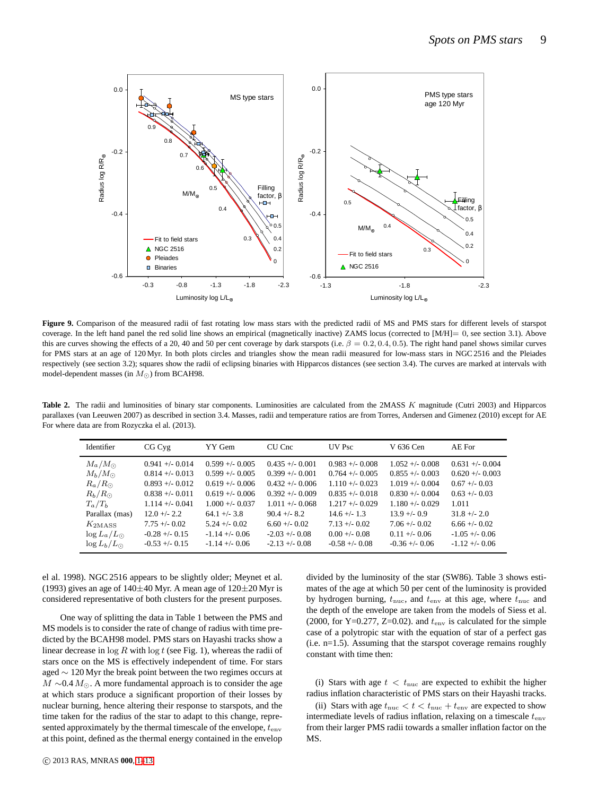

Figure 9. Comparison of the measured radii of fast rotating low mass stars with the predicted radii of MS and PMS stars for different levels of starspot coverage. In the left hand panel the red solid line shows an empirical (magnetically inactive) ZAMS locus (corrected to [M/H]= 0, see section 3.1). Above this are curves showing the effects of a 20, 40 and 50 per cent coverage by dark starspots (i.e.  $\beta = 0.2, 0.4, 0.5$ ). The right hand panel shows similar curves for PMS stars at an age of 120 Myr. In both plots circles and triangles show the mean radii measured for low-mass stars in NGC2516 and the Pleiades respectively (see section 3.2); squares show the radii of eclipsing binaries with Hipparcos distances (see section 3.4). The curves are marked at intervals with model-dependent masses (in  $M_{\odot}$ ) from BCAH98.

Table 2. The radii and luminosities of binary star components. Luminosities are calculated from the 2MASS K magnitude (Cutri 2003) and Hipparcos parallaxes (van Leeuwen 2007) as described in section 3.4. Masses, radii and temperature ratios are from Torres, Andersen and Gimenez (2010) except for AE For where data are from Rozyczka el al. (2013).

| Identifier                                                                                                                                         | CGC <sub>VE</sub>                                                                                                                                            | YY Gem                                                                                                                                                          | CU Cnc                                                                                                                                                         | <b>UV</b> Psc                                                                                                                                             | V 636 Cen                                                                                                                                                      | AE For                                                                                                                                      |
|----------------------------------------------------------------------------------------------------------------------------------------------------|--------------------------------------------------------------------------------------------------------------------------------------------------------------|-----------------------------------------------------------------------------------------------------------------------------------------------------------------|----------------------------------------------------------------------------------------------------------------------------------------------------------------|-----------------------------------------------------------------------------------------------------------------------------------------------------------|----------------------------------------------------------------------------------------------------------------------------------------------------------------|---------------------------------------------------------------------------------------------------------------------------------------------|
| $M_a/M_{\odot}$<br>$M_h/M_{\odot}$<br>$R_a/R_{\odot}$<br>$R_h/R_{\odot}$<br>$T_a/T_b$<br>Parallax (mas)<br>$K_{\rm 2MASS}$<br>$\log L_a/L_{\odot}$ | $0.941 + (-0.014)$<br>$0.814 + (-0.013)$<br>$0.893 + 0.012$<br>$0.838 + 0.011$<br>$1.114 + - 0.041$<br>$12.0 + 2.2$<br>$7.75 + (-0.02)$<br>$-0.28 + (-0.15)$ | $0.599 + - 0.005$<br>$0.599 + - 0.005$<br>$0.619 + - 0.006$<br>$0.619 + - 0.006$<br>$1.000 +/- 0.037$<br>$64.1 +/- 3.8$<br>$5.24 + (-0.02)$<br>$-1.14 + (-0.06$ | $0.435 + (-0.001)$<br>$0.399 + - 0.001$<br>$0.432 + 0.006$<br>$0.392 + - 0.009$<br>$1.011 + (-0.068)$<br>$904 + - 82$<br>$6.60 + (-0.02)$<br>$-2.03 + (-0.08)$ | $0.983 + 0.008$<br>$0.764 + - 0.005$<br>$1.110 + (-0.023)$<br>$0.835 + 0.018$<br>$1.217 + -0.029$<br>$146 + (-13)$<br>$7.13 + (-0.02)$<br>$0.00 +/- 0.08$ | $1.052 + - 0.008$<br>$0.855 + (-0.003)$<br>$1.019 + - 0.004$<br>$0.830 +/- 0.004$<br>$1.180 + - 0.029$<br>$13.9 + -0.9$<br>$7.06 + - 0.02$<br>$0.11 + (-0.06)$ | $0.631 + (-0.004$<br>$0.620 + - 0.003$<br>$0.67 + 0.03$<br>$0.63 + 0.03$<br>1.011<br>$31.8 + (-2.0)$<br>$6.66 + (-0.02)$<br>$-1.05 + -0.06$ |
| $\log L_b/L_{\odot}$                                                                                                                               | $-0.53 + (-0.15)$                                                                                                                                            | $-1.14 + (-0.06$                                                                                                                                                | $-2.13 + (-0.08)$                                                                                                                                              | $-0.58 + (-0.08)$                                                                                                                                         | $-0.36 + -0.06$                                                                                                                                                | $-1.12 + -0.06$                                                                                                                             |

el al. 1998). NGC 2516 appears to be slightly older; Meynet et al. (1993) gives an age of  $140\pm40$  Myr. A mean age of  $120\pm20$  Myr is considered representative of both clusters for the present purposes.

One way of splitting the data in Table 1 between the PMS and MS models is to consider the rate of change of radius with time predicted by the BCAH98 model. PMS stars on Hayashi tracks show a linear decrease in  $\log R$  with  $\log t$  (see Fig. 1), whereas the radii of stars once on the MS is effectively independent of time. For stars aged ∼ 120 Myr the break point between the two regimes occurs at  $M \sim 0.4 M_{\odot}$ . A more fundamental approach is to consider the age at which stars produce a significant proportion of their losses by nuclear burning, hence altering their response to starspots, and the time taken for the radius of the star to adapt to this change, represented approximately by the thermal timescale of the envelope,  $t_{env}$ at this point, defined as the thermal energy contained in the envelop

divided by the luminosity of the star (SW86). Table 3 shows estimates of the age at which 50 per cent of the luminosity is provided by hydrogen burning,  $t_{\text{nuc}}$ , and  $t_{\text{env}}$  at this age, where  $t_{\text{nuc}}$  and the depth of the envelope are taken from the models of Siess et al. (2000, for Y=0.277, Z=0.02). and  $t_{env}$  is calculated for the simple case of a polytropic star with the equation of star of a perfect gas (i.e. n=1.5). Assuming that the starspot coverage remains roughly constant with time then:

(i) Stars with age  $t < t_{\text{nuc}}$  are expected to exhibit the higher radius inflation characteristic of PMS stars on their Hayashi tracks.

(ii) Stars with age  $t_{\text{nuc}} < t < t_{\text{nuc}} + t_{\text{env}}$  are expected to show intermediate levels of radius inflation, relaxing on a timescale  $t_{env}$ from their larger PMS radii towards a smaller inflation factor on the MS.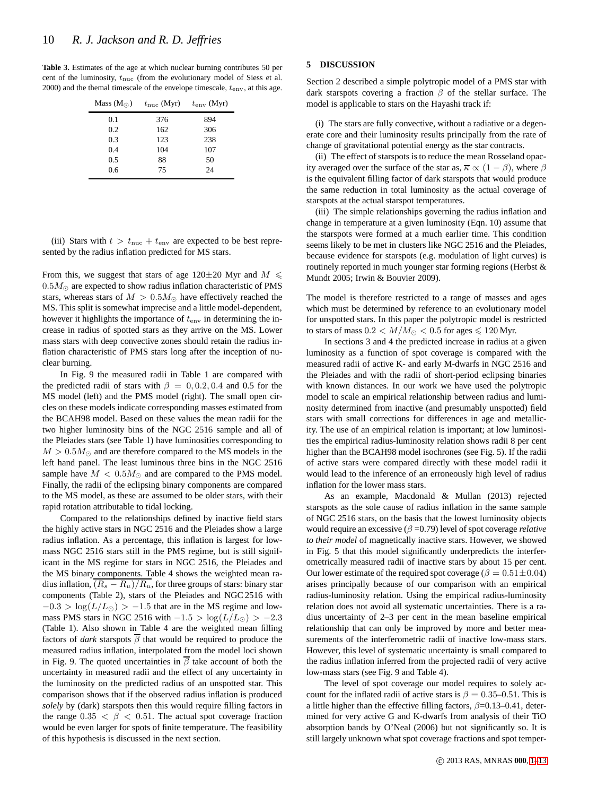**Table 3.** Estimates of the age at which nuclear burning contributes 50 per cent of the luminosity,  $t_{\text{nuc}}$  (from the evolutionary model of Siess et al. 2000) and the themal timescale of the envelope timescale,  $t_{env}$ , at this age.

| Mass $(M_{\odot})$ | $t_{\text{nuc}}$ (Myr) | $t_{env}$ (Myr) |
|--------------------|------------------------|-----------------|
| 0.1                | 376                    | 894             |
| 0.2                | 162                    | 306             |
| 0.3                | 123                    | 238             |
| 0.4                | 104                    | 107             |
| 0.5                | 88                     | 50              |
| 0.6                | 75                     | 24              |
|                    |                        |                 |

(iii) Stars with  $t > t_{\text{nuc}} + t_{\text{env}}$  are expected to be best represented by the radius inflation predicted for MS stars.

From this, we suggest that stars of age 120 $\pm$ 20 Myr and  $M \le$  $0.5M_{\odot}$  are expected to show radius inflation characteristic of PMS stars, whereas stars of  $M > 0.5 M_{\odot}$  have effectively reached the MS. This split is somewhat imprecise and a little model-dependent, however it highlights the importance of  $t_{env}$  in determining the increase in radius of spotted stars as they arrive on the MS. Lower mass stars with deep convective zones should retain the radius inflation characteristic of PMS stars long after the inception of nuclear burning.

In Fig. 9 the measured radii in Table 1 are compared with the predicted radii of stars with  $\beta = 0, 0.2, 0.4$  and 0.5 for the MS model (left) and the PMS model (right). The small open circles on these models indicate corresponding masses estimated from the BCAH98 model. Based on these values the mean radii for the two higher luminosity bins of the NGC 2516 sample and all of the Pleiades stars (see Table 1) have luminosities corresponding to  $M > 0.5 M_{\odot}$  and are therefore compared to the MS models in the left hand panel. The least luminous three bins in the NGC 2516 sample have  $M < 0.5 M_{\odot}$  and are compared to the PMS model. Finally, the radii of the eclipsing binary components are compared to the MS model, as these are assumed to be older stars, with their rapid rotation attributable to tidal locking.

Compared to the relationships defined by inactive field stars the highly active stars in NGC 2516 and the Pleiades show a large radius inflation. As a percentage, this inflation is largest for lowmass NGC 2516 stars still in the PMS regime, but is still significant in the MS regime for stars in NGC 2516, the Pleiades and the MS binary components. Table 4 shows the weighted mean radius inflation,  $(R_s - R_u)/R_u$ , for three groups of stars: binary star components (Table 2), stars of the Pleiades and NGC 2516 with  $-0.3 > log(L/L_{\odot}) > -1.5$  that are in the MS regime and lowmass PMS stars in NGC 2516 with  $-1.5 > log(L/L_{\odot}) > -2.3$ (Table 1). Also shown in Table 4 are the weighted mean filling factors of *dark* starspots  $\overline{\beta}$  that would be required to produce the measured radius inflation, interpolated from the model loci shown in Fig. 9. The quoted uncertainties in  $\overline{\beta}$  take account of both the uncertainty in measured radii and the effect of any uncertainty in the luminosity on the predicted radius of an unspotted star. This comparison shows that if the observed radius inflation is produced *solely* by (dark) starspots then this would require filling factors in the range  $0.35 < \beta < 0.51$ . The actual spot coverage fraction would be even larger for spots of finite temperature. The feasibility of this hypothesis is discussed in the next section.

# **5 DISCUSSION**

Section 2 described a simple polytropic model of a PMS star with dark starspots covering a fraction  $\beta$  of the stellar surface. The model is applicable to stars on the Hayashi track if:

(i) The stars are fully convective, without a radiative or a degenerate core and their luminosity results principally from the rate of change of gravitational potential energy as the star contracts.

(ii) The effect of starspots is to reduce the mean Rosseland opacity averaged over the surface of the star as,  $\overline{\kappa} \propto (1 - \beta)$ , where  $\beta$ is the equivalent filling factor of dark starspots that would produce the same reduction in total luminosity as the actual coverage of starspots at the actual starspot temperatures.

(iii) The simple relationships governing the radius inflation and change in temperature at a given luminosity (Eqn. 10) assume that the starspots were formed at a much earlier time. This condition seems likely to be met in clusters like NGC 2516 and the Pleiades, because evidence for starspots (e.g. modulation of light curves) is routinely reported in much younger star forming regions (Herbst & Mundt 2005; Irwin & Bouvier 2009).

The model is therefore restricted to a range of masses and ages which must be determined by reference to an evolutionary model for unspotted stars. In this paper the polytropic model is restricted to stars of mass  $0.2 < M/M_{\odot} < 0.5$  for ages  $\leq 120$  Myr.

In sections 3 and 4 the predicted increase in radius at a given luminosity as a function of spot coverage is compared with the measured radii of active K- and early M-dwarfs in NGC 2516 and the Pleiades and with the radii of short-period eclipsing binaries with known distances. In our work we have used the polytropic model to scale an empirical relationship between radius and luminosity determined from inactive (and presumably unspotted) field stars with small corrections for differences in age and metallicity. The use of an empirical relation is important; at low luminosities the empirical radius-luminosity relation shows radii 8 per cent higher than the BCAH98 model isochrones (see Fig. 5). If the radii of active stars were compared directly with these model radii it would lead to the inference of an erroneously high level of radius inflation for the lower mass stars.

As an example, Macdonald & Mullan (2013) rejected starspots as the sole cause of radius inflation in the same sample of NGC 2516 stars, on the basis that the lowest luminosity objects would require an excessive (β =0.79) level of spot coverage *relative to their model* of magnetically inactive stars. However, we showed in Fig. 5 that this model significantly underpredicts the interferometrically measured radii of inactive stars by about 15 per cent. Our lower estimate of the required spot coverage ( $\beta = 0.51 \pm 0.04$ ) arises principally because of our comparison with an empirical radius-luminosity relation. Using the empirical radius-luminosity relation does not avoid all systematic uncertainties. There is a radius uncertainty of 2–3 per cent in the mean baseline empirical relationship that can only be improved by more and better measurements of the interferometric radii of inactive low-mass stars. However, this level of systematic uncertainty is small compared to the radius inflation inferred from the projected radii of very active low-mass stars (see Fig. 9 and Table 4).

The level of spot coverage our model requires to solely account for the inflated radii of active stars is  $\beta = 0.35{\text -}0.51$ . This is a little higher than the effective filling factors,  $\beta$ =0.13–0.41, determined for very active G and K-dwarfs from analysis of their TiO absorption bands by O'Neal (2006) but not significantly so. It is still largely unknown what spot coverage fractions and spot temper-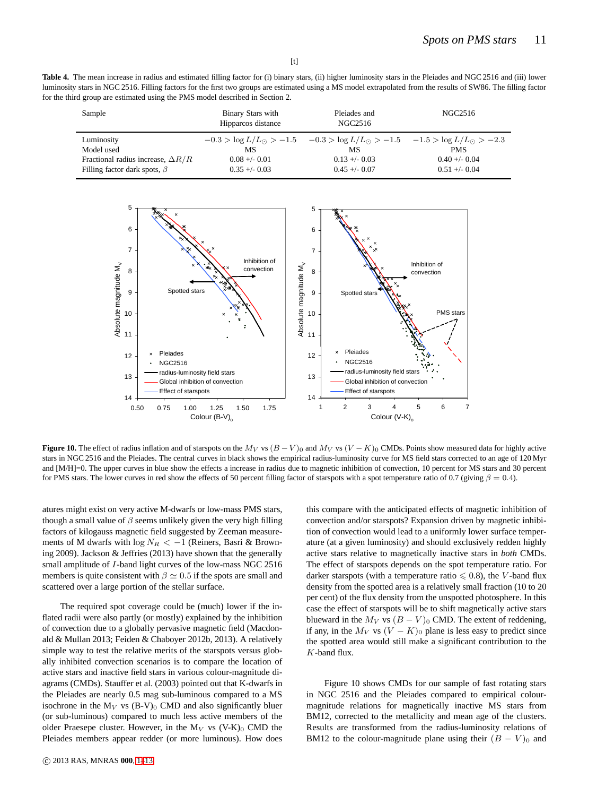Table 4. The mean increase in radius and estimated filling factor for (i) binary stars, (ii) higher luminosity stars in the Pleiades and NGC 2516 and (iii) lower luminosity stars in NGC 2516. Filling factors for the first two groups are estimated using a MS model extrapolated from the results of SW86. The filling factor for the third group are estimated using the PMS model described in Section 2.

| Sample                                   | Binary Stars with<br>Hipparcos distance | Pleiades and<br>NGC2516                                                                            | NGC2516         |
|------------------------------------------|-----------------------------------------|----------------------------------------------------------------------------------------------------|-----------------|
| Luminosity                               |                                         | $-0.3 > \log L/L_{\odot} > -1.5$ $-0.3 > \log L/L_{\odot} > -1.5$ $-1.5 > \log L/L_{\odot} > -2.3$ |                 |
| Model used                               | МS                                      | МS                                                                                                 | <b>PMS</b>      |
| Fractional radius increase, $\Delta R/R$ | $0.08 + -0.01$                          | $0.13 + -0.03$                                                                                     | $0.40 + - 0.04$ |
| Filling factor dark spots, $\beta$       | $0.35 + -0.03$                          | $0.45 + -0.07$                                                                                     | $0.51 + -0.04$  |



**Figure 10.** The effect of radius inflation and of starspots on the  $M_V$  vs  $(B - V)_0$  and  $M_V$  vs  $(V - K)_0$  CMDs. Points show measured data for highly active stars in NGC 2516 and the Pleiades. The central curves in black shows the empirical radius-luminosity curve for MS field stars corrected to an age of 120 Myr and [M/H]=0. The upper curves in blue show the effects a increase in radius due to magnetic inhibition of convection, 10 percent for MS stars and 30 percent for PMS stars. The lower curves in red show the effects of 50 percent filling factor of starspots with a spot temperature ratio of 0.7 (giving  $\beta = 0.4$ ).

atures might exist on very active M-dwarfs or low-mass PMS stars, though a small value of  $\beta$  seems unlikely given the very high filling factors of kilogauss magnetic field suggested by Zeeman measurements of M dwarfs with  $\log N_R < -1$  (Reiners, Basri & Browning 2009). Jackson & Jeffries (2013) have shown that the generally small amplitude of I-band light curves of the low-mass NGC 2516 members is quite consistent with  $\beta \simeq 0.5$  if the spots are small and scattered over a large portion of the stellar surface.

The required spot coverage could be (much) lower if the inflated radii were also partly (or mostly) explained by the inhibition of convection due to a globally pervasive magnetic field (Macdonald & Mullan 2013; Feiden & Chaboyer 2012b, 2013). A relatively simple way to test the relative merits of the starspots versus globally inhibited convection scenarios is to compare the location of active stars and inactive field stars in various colour-magnitude diagrams (CMDs). Stauffer et al. (2003) pointed out that K-dwarfs in the Pleiades are nearly 0.5 mag sub-luminous compared to a MS isochrone in the  $M_V$  vs (B-V)<sub>0</sub> CMD and also significantly bluer (or sub-luminous) compared to much less active members of the older Praesepe cluster. However, in the  $M_V$  vs (V-K)<sub>0</sub> CMD the Pleiades members appear redder (or more luminous). How does this compare with the anticipated effects of magnetic inhibition of convection and/or starspots? Expansion driven by magnetic inhibition of convection would lead to a uniformly lower surface temperature (at a given luminosity) and should exclusively redden highly active stars relative to magnetically inactive stars in *both* CMDs. The effect of starspots depends on the spot temperature ratio. For darker starspots (with a temperature ratio  $\leq 0.8$ ), the V-band flux density from the spotted area is a relatively small fraction (10 to 20 per cent) of the flux density from the unspotted photosphere. In this case the effect of starspots will be to shift magnetically active stars blueward in the  $M_V$  vs  $(B - V)_0$  CMD. The extent of reddening, if any, in the  $M_V$  vs  $(V - K)_0$  plane is less easy to predict since the spotted area would still make a significant contribution to the K-band flux.

Figure 10 shows CMDs for our sample of fast rotating stars in NGC 2516 and the Pleiades compared to empirical colourmagnitude relations for magnetically inactive MS stars from BM12, corrected to the metallicity and mean age of the clusters. Results are transformed from the radius-luminosity relations of BM12 to the colour-magnitude plane using their  $(B - V)_0$  and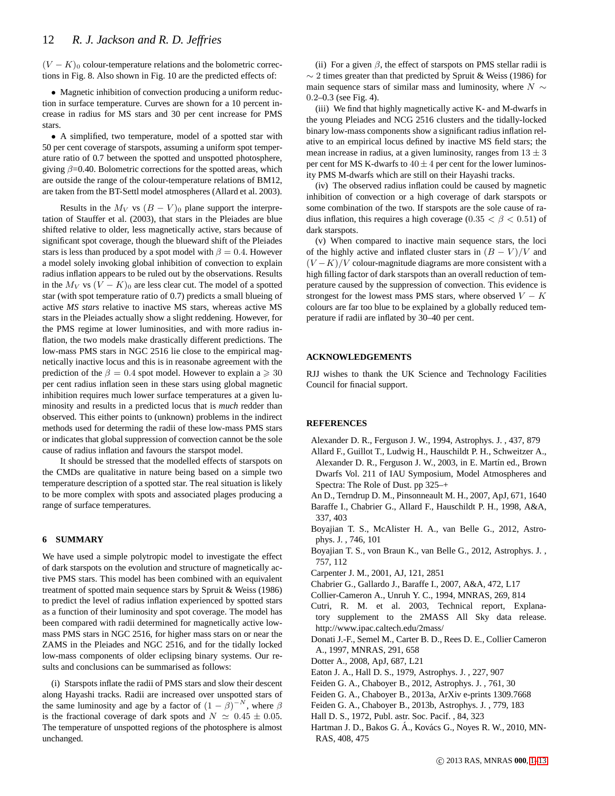$(V - K)$ <sup>0</sup> colour-temperature relations and the bolometric corrections in Fig. 8. Also shown in Fig. 10 are the predicted effects of:

• Magnetic inhibition of convection producing a uniform reduction in surface temperature. Curves are shown for a 10 percent increase in radius for MS stars and 30 per cent increase for PMS stars.

• A simplified, two temperature, model of a spotted star with 50 per cent coverage of starspots, assuming a uniform spot temperature ratio of 0.7 between the spotted and unspotted photosphere, giving  $\beta$ =0.40. Bolometric corrections for the spotted areas, which are outside the range of the colour-temperature relations of BM12, are taken from the BT-Settl model atmospheres (Allard et al. 2003).

Results in the  $M_V$  vs  $(B - V)_0$  plane support the interpretation of Stauffer et al. (2003), that stars in the Pleiades are blue shifted relative to older, less magnetically active, stars because of significant spot coverage, though the blueward shift of the Pleiades stars is less than produced by a spot model with  $\beta = 0.4$ . However a model solely invoking global inhibition of convection to explain radius inflation appears to be ruled out by the observations. Results in the  $M_V$  vs  $(V - K)_0$  are less clear cut. The model of a spotted star (with spot temperature ratio of 0.7) predicts a small blueing of active *MS stars* relative to inactive MS stars, whereas active MS stars in the Pleiades actually show a slight reddening. However, for the PMS regime at lower luminosities, and with more radius inflation, the two models make drastically different predictions. The low-mass PMS stars in NGC 2516 lie close to the empirical magnetically inactive locus and this is in reasonabe agreement with the prediction of the  $\beta = 0.4$  spot model. However to explain a  $\geq 30$ per cent radius inflation seen in these stars using global magnetic inhibition requires much lower surface temperatures at a given luminosity and results in a predicted locus that is *much* redder than observed. This either points to (unknown) problems in the indirect methods used for determing the radii of these low-mass PMS stars or indicates that global suppression of convection cannot be the sole cause of radius inflation and favours the starspot model.

It should be stressed that the modelled effects of starspots on the CMDs are qualitative in nature being based on a simple two temperature description of a spotted star. The real situation is likely to be more complex with spots and associated plages producing a range of surface temperatures.

## **6 SUMMARY**

We have used a simple polytropic model to investigate the effect of dark starspots on the evolution and structure of magnetically active PMS stars. This model has been combined with an equivalent treatment of spotted main sequence stars by Spruit & Weiss (1986) to predict the level of radius inflation experienced by spotted stars as a function of their luminosity and spot coverage. The model has been compared with radii determined for magnetically active lowmass PMS stars in NGC 2516, for higher mass stars on or near the ZAMS in the Pleiades and NGC 2516, and for the tidally locked low-mass components of older eclipsing binary systems. Our results and conclusions can be summarised as follows:

(i) Starspots inflate the radii of PMS stars and slow their descent along Hayashi tracks. Radii are increased over unspotted stars of the same luminosity and age by a factor of  $(1 - \beta)^{-N}$ , where  $\beta$ is the fractional coverage of dark spots and  $N \simeq 0.45 \pm 0.05$ . The temperature of unspotted regions of the photosphere is almost unchanged.

(ii) For a given  $\beta$ , the effect of starspots on PMS stellar radii is  $\sim$  2 times greater than that predicted by Spruit & Weiss (1986) for main sequence stars of similar mass and luminosity, where  $N \sim$ 0.2–0.3 (see Fig. 4).

(iii) We find that highly magnetically active K- and M-dwarfs in the young Pleiades and NCG 2516 clusters and the tidally-locked binary low-mass components show a significant radius inflation relative to an empirical locus defined by inactive MS field stars; the mean increase in radius, at a given luminosity, ranges from  $13 \pm 3$ per cent for MS K-dwarfs to  $40 \pm 4$  per cent for the lower luminosity PMS M-dwarfs which are still on their Hayashi tracks.

(iv) The observed radius inflation could be caused by magnetic inhibition of convection or a high coverage of dark starspots or some combination of the two. If starspots are the sole cause of radius inflation, this requires a high coverage (0.35  $< \beta < 0.51$ ) of dark starspots.

(v) When compared to inactive main sequence stars, the loci of the highly active and inflated cluster stars in  $(B - V)/V$  and  $(V - K)/V$  colour-magnitude diagrams are more consistent with a high filling factor of dark starspots than an overall reduction of temperature caused by the suppression of convection. This evidence is strongest for the lowest mass PMS stars, where observed  $V - K$ colours are far too blue to be explained by a globally reduced temperature if radii are inflated by 30–40 per cent.

## **ACKNOWLEDGEMENTS**

RJJ wishes to thank the UK Science and Technology Facilities Council for finacial support.

#### **REFERENCES**

- Alexander D. R., Ferguson J. W., 1994, Astrophys. J. , 437, 879
- Allard F., Guillot T., Ludwig H., Hauschildt P. H., Schweitzer A., Alexander D. R., Ferguson J. W., 2003, in E. Martín ed., Brown Dwarfs Vol. 211 of IAU Symposium, Model Atmospheres and Spectra: The Role of Dust. pp 325–+
- An D., Terndrup D. M., Pinsonneault M. H., 2007, ApJ, 671, 1640 Baraffe I., Chabrier G., Allard F., Hauschildt P. H., 1998, A&A, 337, 403
- Boyajian T. S., McAlister H. A., van Belle G., 2012, Astrophys. J. , 746, 101
- Boyajian T. S., von Braun K., van Belle G., 2012, Astrophys. J. , 757, 112
- Carpenter J. M., 2001, AJ, 121, 2851
- Chabrier G., Gallardo J., Baraffe I., 2007, A&A, 472, L17
- Collier-Cameron A., Unruh Y. C., 1994, MNRAS, 269, 814
- Cutri, R. M. et al. 2003, Technical report, Explanatory supplement to the 2MASS All Sky data release. http://www.ipac.caltech.edu/2mass/
- Donati J.-F., Semel M., Carter B. D., Rees D. E., Collier Cameron A., 1997, MNRAS, 291, 658
- Dotter A., 2008, ApJ, 687, L21
- Eaton J. A., Hall D. S., 1979, Astrophys. J. , 227, 907
- Feiden G. A., Chaboyer B., 2012, Astrophys. J. , 761, 30
- Feiden G. A., Chaboyer B., 2013a, ArXiv e-prints 1309.7668
- Feiden G. A., Chaboyer B., 2013b, Astrophys. J. , 779, 183
- Hall D. S., 1972, Publ. astr. Soc. Pacif. , 84, 323
- Hartman J. D., Bakos G. Á., Kovács G., Noyes R. W., 2010, MN-RAS, 408, 475